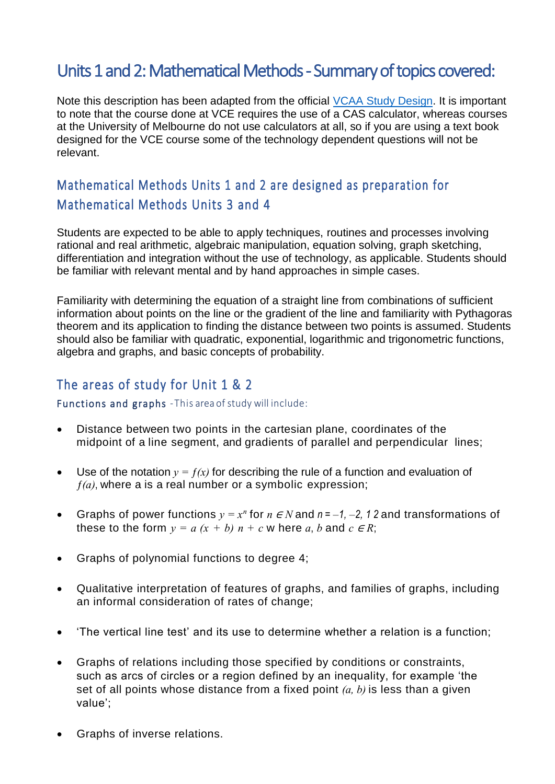# Units 1 and 2: Mathematical Methods - Summary of topics covered:

Note this description has been adapted from the official [VCAA Study Design.](https://www.vcaa.vic.edu.au/Documents/vce/mathematics/MathematicsSD-2016.pdf) It is important to note that the course done at VCE requires the use of a CAS calculator, whereas courses at the University of Melbourne do not use calculators at all, so if you are using a text book designed for the VCE course some of the technology dependent questions will not be relevant.

# Mathematical Methods Units 1 and 2 are designed as preparation for Mathematical Methods Units 3 and 4

Students are expected to be able to apply techniques, routines and processes involving rational and real arithmetic, algebraic manipulation, equation solving, graph sketching, differentiation and integration without the use of technology, as applicable. Students should be familiar with relevant mental and by hand approaches in simple cases.

Familiarity with determining the equation of a straight line from combinations of sufficient information about points on the line or the gradient of the line and familiarity with Pythagoras theorem and its application to finding the distance between two points is assumed. Students should also be familiar with quadratic, exponential, logarithmic and trigonometric functions, algebra and graphs, and basic concepts of probability.

# The areas of study for Unit 1 & 2

#### Functions and graphs -This area of study will include:

- Distance between two points in the cartesian plane, coordinates of the midpoint of a line segment, and gradients of parallel and perpendicular lines;
- Use of the notation  $y = f(x)$  for describing the rule of a function and evaluation of *ƒ(a)*, where a is a real number or a symbolic expression;
- Graphs of power functions  $y = x^n$  for  $n \in N$  and  $n = -1, -2, 12$  and transformations of these to the form  $y = a(x + b)$   $n + c$  w here a, b and  $c \in R$ ;
- Graphs of polynomial functions to degree 4;
- Qualitative interpretation of features of graphs, and families of graphs, including an informal consideration of rates of change;
- 'The vertical line test' and its use to determine whether a relation is a function;
- Graphs of relations including those specified by conditions or constraints, such as arcs of circles or a region defined by an inequality, for example 'the set of all points whose distance from a fixed point *(a, b)* is less than a given value';
- Graphs of inverse relations.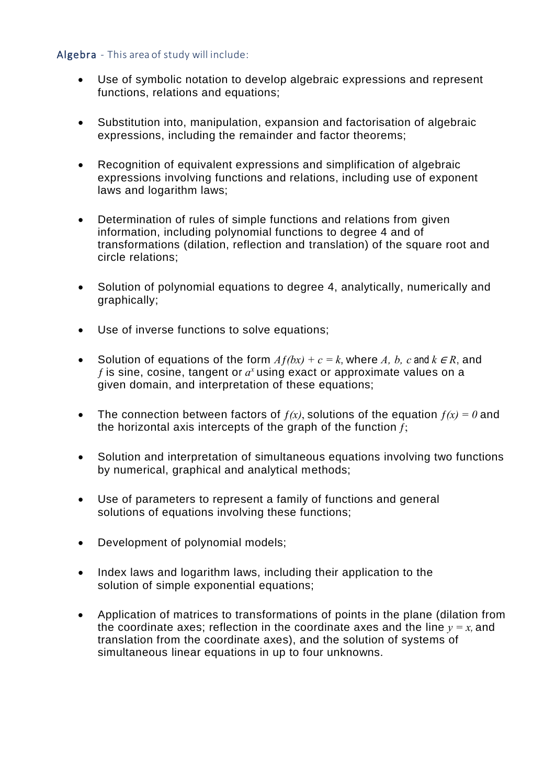### Algebra - This area of study will include:

- Use of symbolic notation to develop algebraic expressions and represent functions, relations and equations;
- Substitution into, manipulation, expansion and factorisation of algebraic expressions, including the remainder and factor theorems;
- Recognition of equivalent expressions and simplification of algebraic expressions involving functions and relations, including use of exponent laws and logarithm laws;
- Determination of rules of simple functions and relations from given information, including polynomial functions to degree 4 and of transformations (dilation, reflection and translation) of the square root and circle relations;
- Solution of polynomial equations to degree 4, analytically, numerically and graphically;
- Use of inverse functions to solve equations;
- Solution of equations of the form  $Af(bx) + c = k$ , where A, b, c and  $k \in \mathbb{R}$ , and  $f$  is sine, cosine, tangent or  $a^x$  using exact or approximate values on a given domain, and interpretation of these equations;
- The connection between factors of  $f(x)$ , solutions of the equation  $f(x) = 0$  and the horizontal axis intercepts of the graph of the function *ƒ*;
- Solution and interpretation of simultaneous equations involving two functions by numerical, graphical and analytical methods;
- Use of parameters to represent a family of functions and general solutions of equations involving these functions;
- Development of polynomial models;
- Index laws and logarithm laws, including their application to the solution of simple exponential equations;
- Application of matrices to transformations of points in the plane (dilation from the coordinate axes; reflection in the coordinate axes and the line  $y = x$ , and translation from the coordinate axes), and the solution of systems of simultaneous linear equations in up to four unknowns.